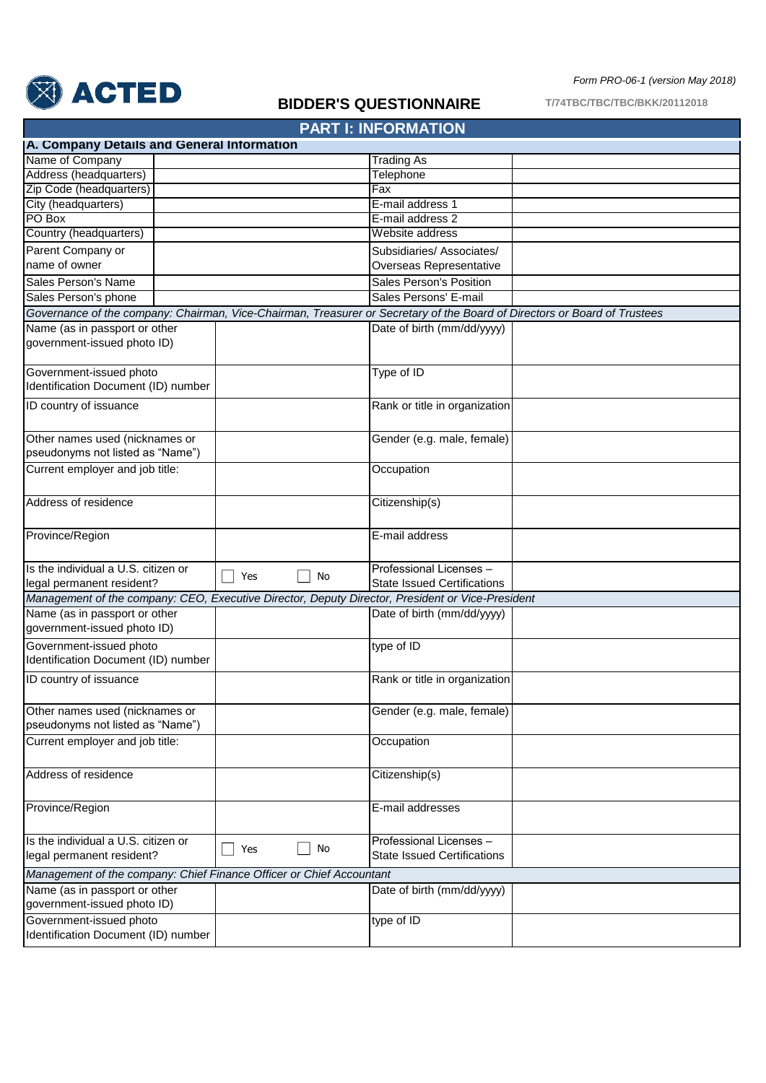

## **BIDDER'S QUESTIONNAIRE**

**T/74TBC/TBC/TBC/BKK/20112018**

*Form PRO-06-1 (version May 2018)*

## Trading As **Telephone** Fax E-mail address 1 E-mail address 2 Website address Subsidiaries/ Associates/ Overseas Representative Sales Person's Position Sales Persons' E-mail Date of birth (mm/dd/yyyy) Type of ID Rank or title in organization Gender (e.g. male, female) **Occupation** Citizenship(s) E-mail address Professional Licenses – State Issued Certifications Date of birth (mm/dd/yyyy) type of ID Rank or title in organization Gender (e.g. male, female) **Occupation** Citizenship(s) E-mail addresses Professional Licenses – State Issued Certifications Date of birth (mm/dd/yyyy) type of ID Sales Person's Name Sales Person's phone Address of residence Province/Region Is the individual a U.S. citizen or legal permanent resident? Current employer and job title: Government-issued photo Identification Document (ID) number ID country of issuance Other names used (nicknames or pseudonyms not listed as "Name") Is the individual a U.S. citizen or legal permanent resident? *Management of the company: CEO, Executive Director, Deputy Director, President or Vice-President* Government-issued photo Identification Document (ID) number ID country of issuance Name (as in passport or other government-issued photo ID) Other names used (nicknames or pseudonyms not listed as "Name") Current employer and job title: Address of residence Province/Region **PART I: INFORMATION A. Company Details and General Information** Name of Company City (headquarters) Country (headquarters) Address (headquarters) Zip Code (headquarters) PO Box *Governance of the company: Chairman, Vice-Chairman, Treasurer or Secretary of the Board of Directors or Board of Trustees* Name (as in passport or other government-issued photo ID) Parent Company or name of owner *Management of the company: Chief Finance Officer or Chief Accountant*  Name (as in passport or other government-issued photo ID) Government-issued photo Identification Document (ID) number  $\Box$  Yes  $\Box$  No  $\Box$  Yes  $\Box$  No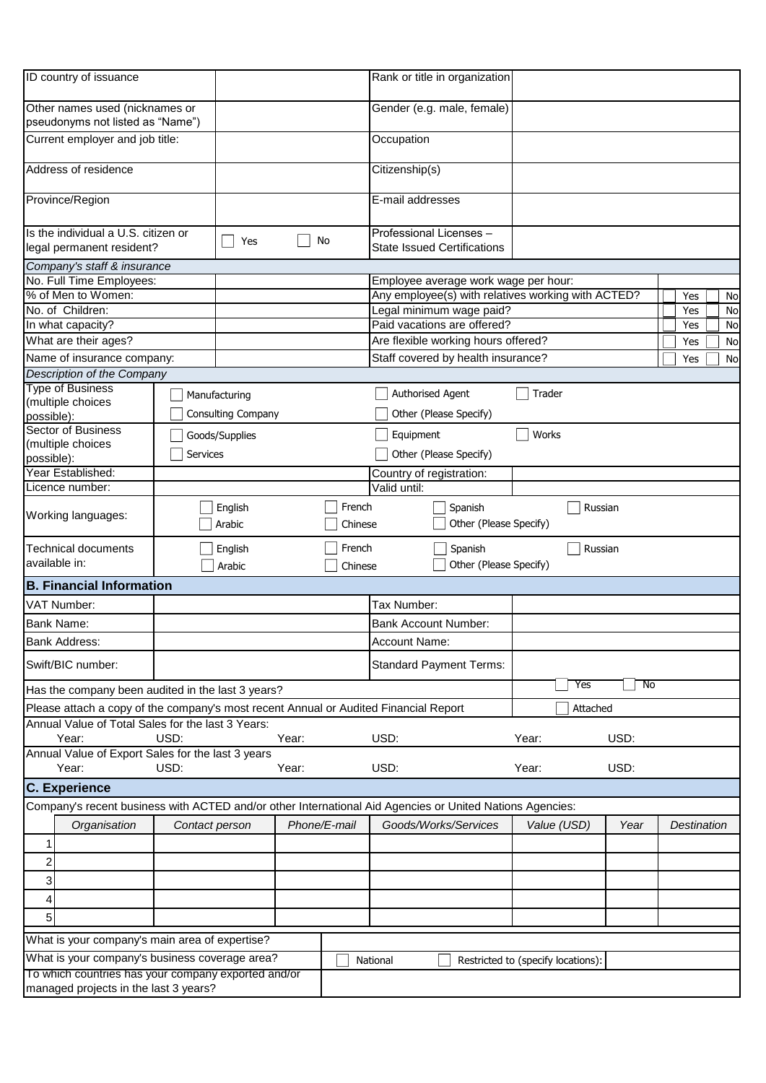| ID country of issuance                                                                       |                 |                    |              |                   | Rank or title in organization                                                                            |                                    |         |             |    |
|----------------------------------------------------------------------------------------------|-----------------|--------------------|--------------|-------------------|----------------------------------------------------------------------------------------------------------|------------------------------------|---------|-------------|----|
| Other names used (nicknames or<br>pseudonyms not listed as "Name")                           |                 |                    |              |                   | Gender (e.g. male, female)                                                                               |                                    |         |             |    |
| Current employer and job title:                                                              |                 |                    |              |                   | Occupation                                                                                               |                                    |         |             |    |
| Address of residence                                                                         |                 |                    |              |                   | Citizenship(s)                                                                                           |                                    |         |             |    |
| Province/Region                                                                              |                 |                    |              |                   | E-mail addresses                                                                                         |                                    |         |             |    |
| Is the individual a U.S. citizen or<br>legal permanent resident?                             |                 | Yes                | No           |                   | Professional Licenses -<br><b>State Issued Certifications</b>                                            |                                    |         |             |    |
| Company's staff & insurance                                                                  |                 |                    |              |                   |                                                                                                          |                                    |         |             |    |
| No. Full Time Employees:                                                                     |                 |                    |              |                   | Employee average work wage per hour:                                                                     |                                    |         |             |    |
| % of Men to Women:                                                                           |                 |                    |              |                   | Any employee(s) with relatives working with ACTED?                                                       |                                    |         | Yes         | No |
| No. of Children:                                                                             |                 |                    |              |                   | Legal minimum wage paid?                                                                                 |                                    |         | Yes         | No |
| In what capacity?                                                                            |                 |                    |              |                   | Paid vacations are offered?                                                                              |                                    |         | Yes         | No |
| What are their ages?                                                                         |                 |                    |              |                   | Are flexible working hours offered?                                                                      |                                    |         | Yes         | No |
| Name of insurance company:                                                                   |                 |                    |              |                   | Staff covered by health insurance?                                                                       |                                    |         | Yes         | No |
| Description of the Company                                                                   |                 |                    |              |                   |                                                                                                          |                                    |         |             |    |
| <b>Type of Business</b>                                                                      |                 | Manufacturing      |              |                   | Authorised Agent                                                                                         | Trader                             |         |             |    |
| (multiple choices                                                                            |                 | Consulting Company |              |                   | Other (Please Specify)                                                                                   |                                    |         |             |    |
| possible):<br><b>Sector of Business</b>                                                      |                 |                    |              |                   |                                                                                                          |                                    |         |             |    |
| (multiple choices                                                                            |                 | Goods/Supplies     |              |                   | Equipment                                                                                                | Works                              |         |             |    |
| possible):                                                                                   | <b>Services</b> |                    |              |                   | Other (Please Specify)                                                                                   |                                    |         |             |    |
| Year Established:                                                                            |                 |                    |              |                   | Country of registration:                                                                                 |                                    |         |             |    |
| Licence number:                                                                              |                 |                    |              |                   | Valid until:                                                                                             |                                    |         |             |    |
| Working languages:                                                                           |                 | English<br>Arabic  |              | French<br>Chinese | Spanish<br>Other (Please Specify)                                                                        |                                    | Russian |             |    |
| <b>Technical documents</b><br>available in:                                                  |                 | English<br>Arabic  |              | French<br>Chinese | Spanish<br>Other (Please Specify)                                                                        |                                    | Russian |             |    |
| <b>B. Financial Information</b>                                                              |                 |                    |              |                   |                                                                                                          |                                    |         |             |    |
| VAT Number:                                                                                  |                 |                    |              |                   | Tax Number:                                                                                              |                                    |         |             |    |
| Bank Name:                                                                                   |                 |                    |              |                   | <b>Bank Account Number:</b>                                                                              |                                    |         |             |    |
|                                                                                              |                 |                    |              |                   |                                                                                                          |                                    |         |             |    |
| <b>Bank Address:</b>                                                                         |                 |                    |              |                   | Account Name:                                                                                            |                                    |         |             |    |
| Swift/BIC number:                                                                            |                 |                    |              |                   | <b>Standard Payment Terms:</b>                                                                           | Yes                                | No      |             |    |
| Has the company been audited in the last 3 years?                                            |                 |                    |              |                   |                                                                                                          |                                    |         |             |    |
| Please attach a copy of the company's most recent Annual or Audited Financial Report         |                 |                    |              |                   | Attached                                                                                                 |                                    |         |             |    |
| Annual Value of Total Sales for the last 3 Years:                                            |                 |                    |              |                   |                                                                                                          |                                    |         |             |    |
| Year:                                                                                        | USD:            |                    | Year:        |                   | USD:                                                                                                     | Year:                              | USD:    |             |    |
| Annual Value of Export Sales for the last 3 years                                            |                 |                    |              |                   |                                                                                                          |                                    |         |             |    |
| Year:                                                                                        | USD:            |                    | Year:        |                   | USD:                                                                                                     | Year:                              | USD:    |             |    |
| <b>C.</b> Experience                                                                         |                 |                    |              |                   |                                                                                                          |                                    |         |             |    |
|                                                                                              |                 |                    |              |                   | Company's recent business with ACTED and/or other International Aid Agencies or United Nations Agencies: |                                    |         |             |    |
| Organisation                                                                                 | Contact person  |                    | Phone/E-mail |                   | Goods/Works/Services                                                                                     | Value (USD)                        | Year    | Destination |    |
| 1                                                                                            |                 |                    |              |                   |                                                                                                          |                                    |         |             |    |
| 2                                                                                            |                 |                    |              |                   |                                                                                                          |                                    |         |             |    |
|                                                                                              |                 |                    |              |                   |                                                                                                          |                                    |         |             |    |
| 3                                                                                            |                 |                    |              |                   |                                                                                                          |                                    |         |             |    |
| 4                                                                                            |                 |                    |              |                   |                                                                                                          |                                    |         |             |    |
| 5                                                                                            |                 |                    |              |                   |                                                                                                          |                                    |         |             |    |
| What is your company's main area of expertise?                                               |                 |                    |              |                   |                                                                                                          |                                    |         |             |    |
|                                                                                              |                 |                    |              |                   |                                                                                                          |                                    |         |             |    |
| What is your company's business coverage area?                                               |                 |                    |              |                   | National                                                                                                 | Restricted to (specify locations): |         |             |    |
| To which countries has your company exported and/or<br>managed projects in the last 3 years? |                 |                    |              |                   |                                                                                                          |                                    |         |             |    |
|                                                                                              |                 |                    |              |                   |                                                                                                          |                                    |         |             |    |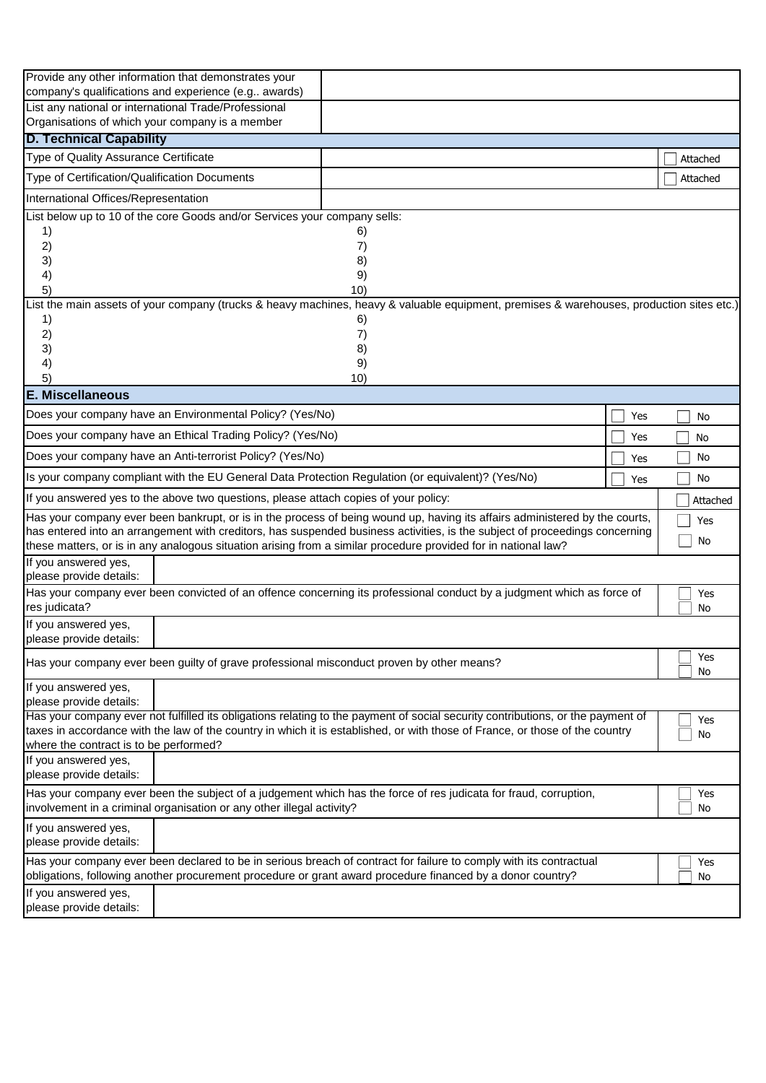| Provide any other information that demonstrates your                                                                                                                                                                                                       |  |  |     |  |          |          |
|------------------------------------------------------------------------------------------------------------------------------------------------------------------------------------------------------------------------------------------------------------|--|--|-----|--|----------|----------|
| company's qualifications and experience (e.g awards)                                                                                                                                                                                                       |  |  |     |  |          |          |
| List any national or international Trade/Professional<br>Organisations of which your company is a member                                                                                                                                                   |  |  |     |  |          |          |
| <b>D. Technical Capability</b>                                                                                                                                                                                                                             |  |  |     |  |          |          |
| Type of Quality Assurance Certificate                                                                                                                                                                                                                      |  |  |     |  |          |          |
|                                                                                                                                                                                                                                                            |  |  |     |  | Attached |          |
| Type of Certification/Qualification Documents                                                                                                                                                                                                              |  |  |     |  | Attached |          |
| International Offices/Representation                                                                                                                                                                                                                       |  |  |     |  |          |          |
| List below up to 10 of the core Goods and/or Services your company sells:                                                                                                                                                                                  |  |  |     |  |          |          |
| 1)<br>6)<br>2)<br>7)                                                                                                                                                                                                                                       |  |  |     |  |          |          |
| 3)<br>8)                                                                                                                                                                                                                                                   |  |  |     |  |          |          |
| 9)<br>4)                                                                                                                                                                                                                                                   |  |  |     |  |          |          |
| 5)<br>10)                                                                                                                                                                                                                                                  |  |  |     |  |          |          |
| List the main assets of your company (trucks & heavy machines, heavy & valuable equipment, premises & warehouses, production sites etc.)                                                                                                                   |  |  |     |  |          |          |
| 1)<br>6)                                                                                                                                                                                                                                                   |  |  |     |  |          |          |
| 2)<br>7)                                                                                                                                                                                                                                                   |  |  |     |  |          |          |
| 3)<br>8)                                                                                                                                                                                                                                                   |  |  |     |  |          |          |
| 4)<br>9)<br>5)<br>10)                                                                                                                                                                                                                                      |  |  |     |  |          |          |
| <b>E. Miscellaneous</b>                                                                                                                                                                                                                                    |  |  |     |  |          |          |
| Does your company have an Environmental Policy? (Yes/No)                                                                                                                                                                                                   |  |  | Yes |  | No       |          |
| Does your company have an Ethical Trading Policy? (Yes/No)                                                                                                                                                                                                 |  |  |     |  | No       |          |
| Yes<br>Does your company have an Anti-terrorist Policy? (Yes/No)                                                                                                                                                                                           |  |  |     |  |          | No       |
| Yes<br>Is your company compliant with the EU General Data Protection Regulation (or equivalent)? (Yes/No)                                                                                                                                                  |  |  |     |  |          |          |
| If you answered yes to the above two questions, please attach copies of your policy:                                                                                                                                                                       |  |  | Yes |  | No       |          |
|                                                                                                                                                                                                                                                            |  |  |     |  |          | Attached |
| Has your company ever been bankrupt, or is in the process of being wound up, having its affairs administered by the courts,<br>has entered into an arrangement with creditors, has suspended business activities, is the subject of proceedings concerning |  |  |     |  |          | Yes      |
| these matters, or is in any analogous situation arising from a similar procedure provided for in national law?                                                                                                                                             |  |  |     |  | No       |          |
| If you answered yes,                                                                                                                                                                                                                                       |  |  |     |  |          |          |
| please provide details:                                                                                                                                                                                                                                    |  |  |     |  |          |          |
| Has your company ever been convicted of an offence concerning its professional conduct by a judgment which as force of                                                                                                                                     |  |  |     |  |          | Yes      |
| res judicata?                                                                                                                                                                                                                                              |  |  |     |  | No       |          |
| If you answered yes,<br>please provide details:                                                                                                                                                                                                            |  |  |     |  |          |          |
| Has your company ever been guilty of grave professional misconduct proven by other means?                                                                                                                                                                  |  |  |     |  |          | Yes      |
|                                                                                                                                                                                                                                                            |  |  |     |  |          | No       |
| If you answered yes,                                                                                                                                                                                                                                       |  |  |     |  |          |          |
| please provide details:<br>Has your company ever not fulfilled its obligations relating to the payment of social security contributions, or the payment of                                                                                                 |  |  |     |  |          |          |
| taxes in accordance with the law of the country in which it is established, or with those of France, or those of the country                                                                                                                               |  |  |     |  |          | Yes      |
| where the contract is to be performed?                                                                                                                                                                                                                     |  |  |     |  | No       |          |
| If you answered yes,                                                                                                                                                                                                                                       |  |  |     |  |          |          |
| please provide details:                                                                                                                                                                                                                                    |  |  |     |  |          |          |
| Has your company ever been the subject of a judgement which has the force of res judicata for fraud, corruption,                                                                                                                                           |  |  |     |  |          | Yes      |
| involvement in a criminal organisation or any other illegal activity?                                                                                                                                                                                      |  |  |     |  | No       |          |
| If you answered yes,                                                                                                                                                                                                                                       |  |  |     |  |          |          |
| please provide details:                                                                                                                                                                                                                                    |  |  |     |  |          |          |
| Has your company ever been declared to be in serious breach of contract for failure to comply with its contractual                                                                                                                                         |  |  |     |  |          | Yes      |
|                                                                                                                                                                                                                                                            |  |  |     |  |          |          |
| obligations, following another procurement procedure or grant award procedure financed by a donor country?                                                                                                                                                 |  |  |     |  | No       |          |
| If you answered yes,<br>please provide details:                                                                                                                                                                                                            |  |  |     |  |          |          |